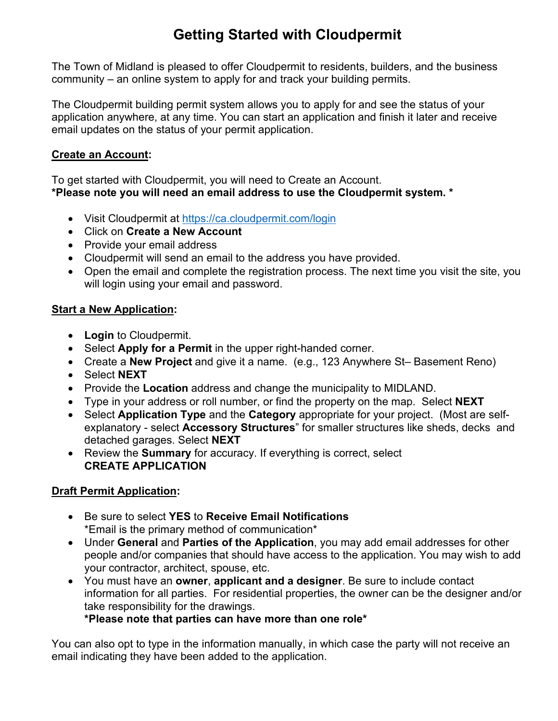# **Getting Started with Cloudpermit**

The Town of Midland is pleased to offer Cloudpermit to residents, builders, and the business community – an online system to apply for and track your building permits.

The Cloudpermit building permit system allows you to apply for and see the status of your application anywhere, at any time. You can start an application and finish it later and receive email updates on the status of your permit application.

## **Create an Account:**

To get started with Cloudpermit, you will need to Create an Account. **\*Please note you will need an email address to use the Cloudpermit system. \***

- Visit Cloudpermit at<https://ca.cloudpermit.com/login>
- Click on **Create a New Account**
- Provide your email address
- Cloudpermit will send an email to the address you have provided.
- Open the email and complete the registration process. The next time you visit the site, you will login using your email and password.

# **Start a New Application:**

- **Login** to Cloudpermit.
- Select **Apply for a Permit** in the upper right-handed corner.
- Create a **New Project** and give it a name. (e.g., 123 Anywhere St– Basement Reno)
- Select **NEXT**
- Provide the **Location** address and change the municipality to MIDLAND.
- Type in your address or roll number, or find the property on the map. Select **NEXT**
- Select **Application Type** and the **Category** appropriate for your project. (Most are selfexplanatory - select **Accessory Structures**" for smaller structures like sheds, decks and detached garages. Select **NEXT**
- Review the **Summary** for accuracy. If everything is correct, select **CREATE APPLICATION**

# **Draft Permit Application:**

- Be sure to select **YES** to **Receive Email Notifications** \*Email is the primary method of communication\*
- Under **General** and **Parties of the Application**, you may add email addresses for other people and/or companies that should have access to the application. You may wish to add your contractor, architect, spouse, etc.
- You must have an **owner**, **applicant and a designer**. Be sure to include contact information for all parties. For residential properties, the owner can be the designer and/or take responsibility for the drawings.

**\*Please note that parties can have more than one role\***

You can also opt to type in the information manually, in which case the party will not receive an email indicating they have been added to the application.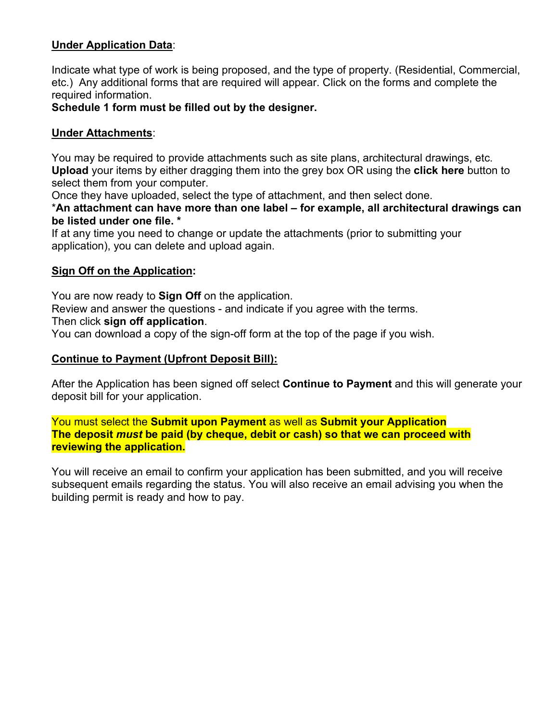## **Under Application Data**:

Indicate what type of work is being proposed, and the type of property. (Residential, Commercial, etc.) Any additional forms that are required will appear. Click on the forms and complete the required information.

### **Schedule 1 form must be filled out by the designer.**

### **Under Attachments**:

You may be required to provide attachments such as site plans, architectural drawings, etc. **Upload** your items by either dragging them into the grey box OR using the **click here** button to select them from your computer.

Once they have uploaded, select the type of attachment, and then select done.

\***An attachment can have more than one label – for example, all architectural drawings can be listed under one file. \***

If at any time you need to change or update the attachments (prior to submitting your application), you can delete and upload again.

### **Sign Off on the Application:**

You are now ready to **Sign Off** on the application.

Review and answer the questions - and indicate if you agree with the terms.

Then click **sign off application**.

You can download a copy of the sign-off form at the top of the page if you wish.

### **Continue to Payment (Upfront Deposit Bill):**

After the Application has been signed off select **Continue to Payment** and this will generate your deposit bill for your application.

You must select the **Submit upon Payment** as well as **Submit your Application The deposit** *must* **be paid (by cheque, debit or cash) so that we can proceed with reviewing the application.** 

You will receive an email to confirm your application has been submitted, and you will receive subsequent emails regarding the status. You will also receive an email advising you when the building permit is ready and how to pay.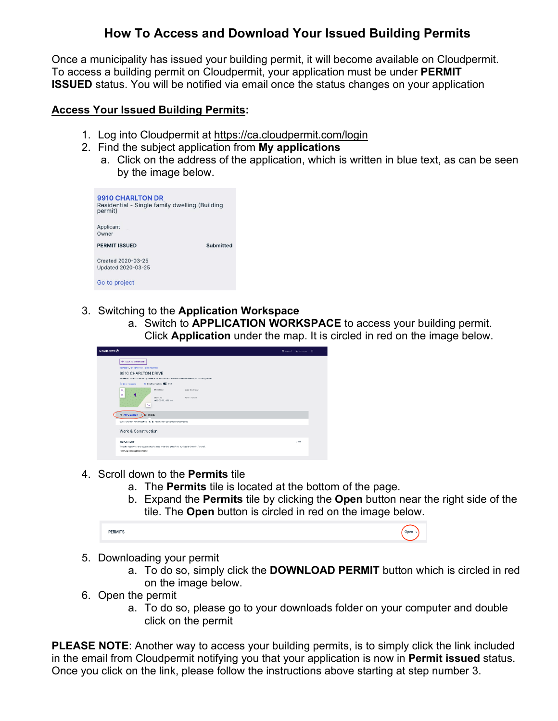# **How To Access and Download Your Issued Building Permits**

Once a municipality has issued your building permit, it will become available on Cloudpermit. To access a building permit on Cloudpermit, your application must be under **PERMIT ISSUED** status. You will be notified via email once the status changes on your application

### **Access Your Issued Building Permits:**

- 1. Log into Cloudpermit at <https://ca.cloudpermit.com/login>
- 2. Find the subject application from **My applications**
	- a. Click on the address of the application, which is written in blue text, as can be seen by the image below.

| 9910 CHARLTON DR<br>Residential - Single family dwelling (Building<br>permit) |                  |  |
|-------------------------------------------------------------------------------|------------------|--|
| Applicant<br>Owner                                                            |                  |  |
| <b>PERMIT ISSUED</b>                                                          | <b>Submitted</b> |  |
| Created 2020-03-25<br>Updated 2020-03-25                                      |                  |  |
| Go to project                                                                 |                  |  |

- 3. Switching to the **Application Workspace**
	- a. Switch to **APPLICATION WORKSPACE** to access your building permit. Click **Application** under the map. It is circled in red on the image below.



- 4. Scroll down to the **Permits** tile
	- a. The **Permits** tile is located at the bottom of the page.
	- b. Expand the **Permits** tile by clicking the **Open** button near the right side of the tile. The **Open** button is circled in red on the image below.

| <b>PERMITS</b> |  |  |  |
|----------------|--|--|--|
|----------------|--|--|--|

- 5. Downloading your permit
	- a. To do so, simply click the **DOWNLOAD PERMIT** button which is circled in red on the image below.
- 6. Open the permit
	- a. To do so, please go to your downloads folder on your computer and double click on the permit

**PLEASE NOTE**: Another way to access your building permits, is to simply click the link included in the email from Cloudpermit notifying you that your application is now in **Permit issued** status. Once you click on the link, please follow the instructions above starting at step number 3.